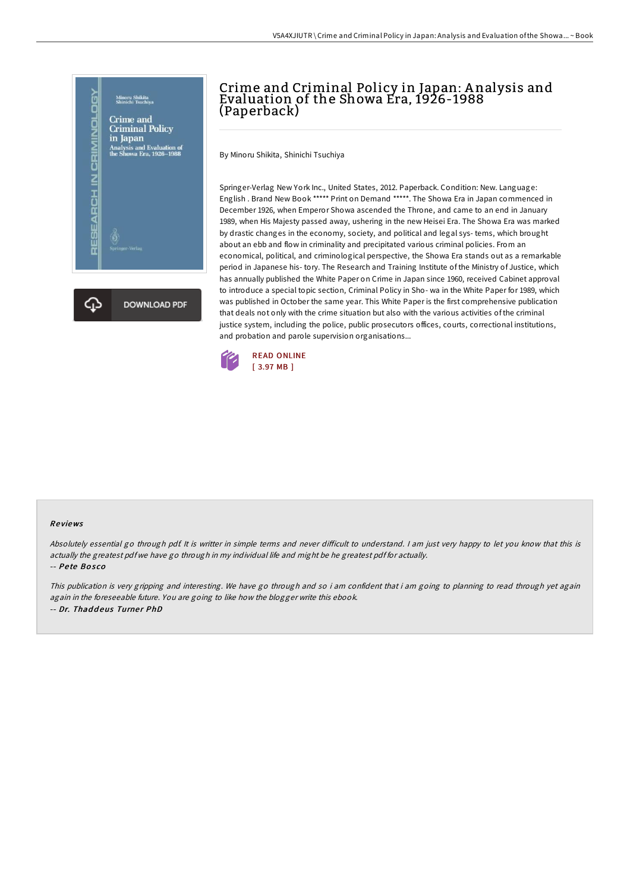

# Crime and Criminal Policy in Japan: A nalysis and Evaluation of the Showa Era, 1926-1988 (Paperback)

By Minoru Shikita, Shinichi Tsuchiya

Springer-Verlag New York Inc., United States, 2012. Paperback. Condition: New. Language: English . Brand New Book \*\*\*\*\* Print on Demand \*\*\*\*\*. The Showa Era in Japan commenced in December 1926, when Emperor Showa ascended the Throne, and came to an end in January 1989, when His Majesty passed away, ushering in the new Heisei Era. The Showa Era was marked by drastic changes in the economy, society, and political and legal sys- tems, which brought about an ebb and flow in criminality and precipitated various criminal policies. From an economical, political, and criminological perspective, the Showa Era stands out as a remarkable period in Japanese his- tory. The Research and Training Institute of the Ministry of Justice, which has annually published the White Paper on Crime in Japan since 1960, received Cabinet approval to introduce a special topic section, Criminal Policy in Sho- wa in the White Paper for 1989, which was published in October the same year. This White Paper is the first comprehensive publication that deals not only with the crime situation but also with the various activities of the criminal justice system, including the police, public prosecutors offices, courts, correctional institutions, and probation and parole supervision organisations...



#### Re views

Absolutely essential go through pdf. It is writter in simple terms and never difficult to understand. I am just very happy to let you know that this is actually the greatest pdf we have go through in my individual life and might be he greatest pdf for actually. -- Pe te Bo s co

This publication is very gripping and interesting. We have go through and so i am confident that i am going to planning to read through yet again again in the foreseeable future. You are going to like how the blogger write this ebook. -- Dr. Thaddeus Turner PhD